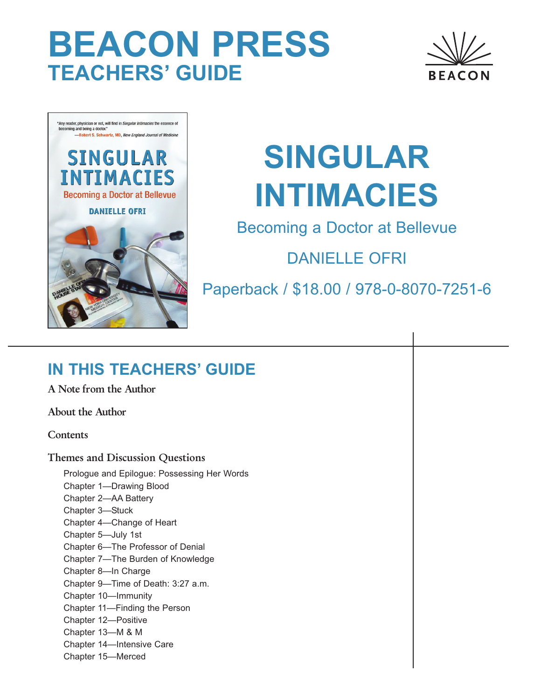# **BEACON PRESS TEACHERS' GUIDE**





# **SINGULAR INTIMACIES**

Becoming a Doctor at Bellevue

DANIELLE OFRI

Paperback / \$18.00 / 978-0-8070-7251-6

# **IN THIS TEACHERS' GUIDE**

A Note from the Author

About the Author

**Contents** 

Themes and Discussion Questions

Prologue and Epilogue: Possessing Her Words Chapter 1—Drawing Blood Chapter 2—AA Battery Chapter 3—Stuck Chapter 4—Change of Heart Chapter 5—July 1st Chapter 6—The Professor of Denial Chapter 7—The Burden of Knowledge Chapter 8—In Charge Chapter 9—Time of Death: 3:27 a.m. Chapter 10—Immunity Chapter 11—Finding the Person Chapter 12—Positive Chapter 13—M & M Chapter 14—Intensive Care Chapter 15—Merced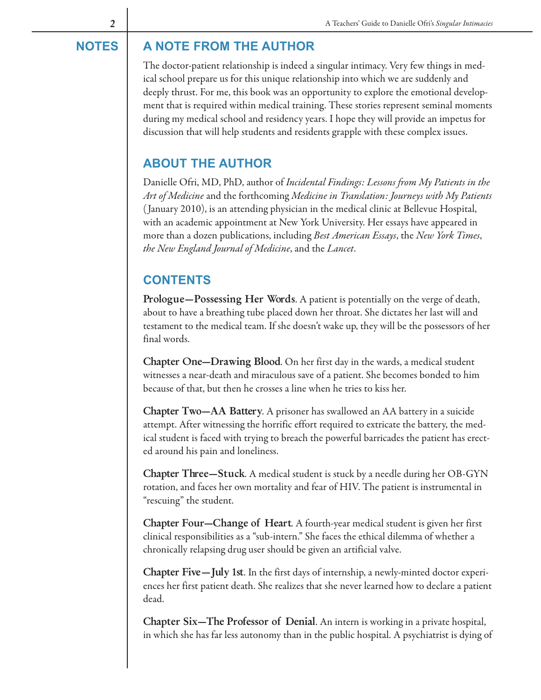# **NOTES A NOTE FROM THE AUTHOR**

The doctor-patient relationship is indeed a singular intimacy. Very few things in medical school prepare us for this unique relationship into which we are suddenly and deeply thrust. For me, this book was an opportunity to explore the emotional development that is required within medical training. These stories represent seminal moments during my medical school and residency years. I hope they will provide an impetus for discussion that will help students and residents grapple with these complex issues.

# **ABOUT THE AUTHOR**

Danielle Ofri, MD, PhD, author of Incidental Findings: Lessons from My Patients in the Art of Medicine and the forthcoming Medicine in Translation: Journeys with My Patients ( January 2010), is an attending physician in the medical clinic at Bellevue Hospital, with an academic appointment at New York University. Her essays have appeared in more than a dozen publications, including Best American Essays, the New York Times, the New England Journal of Medicine, and the Lancet.

# **CONTENTS**

Prologue—Possessing Her Words. A patient is potentially on the verge of death, about to have a breathing tube placed down her throat. She dictates her last will and testament to the medical team. If she doesn't wake up, they will be the possessors of her final words.

Chapter One—Drawing Blood. On her first day in the wards, a medical student witnesses a near-death and miraculous save of a patient. She becomes bonded to him because of that, but then he crosses a line when he tries to kiss her.

Chapter Two—AA Battery. A prisoner has swallowed an AA battery in a suicide attempt. After witnessing the horrific effort required to extricate the battery, the medical student is faced with trying to breach the powerful barricades the patient has erected around his pain and loneliness.

Chapter Three—Stuck. A medical student is stuck by a needle during her OB-GYN rotation, and faces her own mortality and fear of HIV. The patient is instrumental in "rescuing" the student.

Chapter Four—Change of Heart. A fourth-year medical student is given her first clinical responsibilities as a "sub-intern." She faces the ethical dilemma of whether a chronically relapsing drug user should be given an artificial valve.

Chapter Five—July 1st. In the first days of internship, a newly-minted doctor experiences her first patient death. She realizes that she never learned how to declare a patient dead.

Chapter Six—The Professor of Denial. An intern is working in a private hospital, in which she has far less autonomy than in the public hospital. A psychiatrist is dying of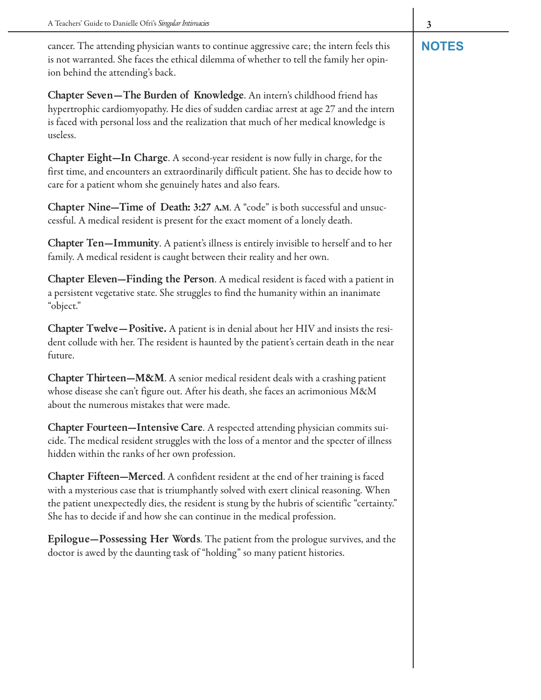cancer. The attending physician wants to continue aggressive care; the intern feels this **NOTES** is not warranted. She faces the ethical dilemma of whether to tell the family her opinion behind the attending's back.

Chapter Seven—The Burden of Knowledge. An intern's childhood friend has hypertrophic cardiomyopathy. He dies of sudden cardiac arrest at age 27 and the intern is faced with personal loss and the realization that much of her medical knowledge is useless.

Chapter Eight—In Charge. A second-year resident is now fully in charge, for the first time, and encounters an extraordinarily difficult patient. She has to decide how to care for a patient whom she genuinely hates and also fears.

Chapter Nine—Time of Death: 3:27 A.M. A "code" is both successful and unsuccessful. A medical resident is present for the exact moment of a lonely death.

Chapter Ten—Immunity. A patient's illness is entirely invisible to herself and to her family. A medical resident is caught between their reality and her own.

Chapter Eleven—Finding the Person. A medical resident is faced with a patient in a persistent vegetative state. She struggles to find the humanity within an inanimate "object."

Chapter Twelve—Positive. A patient is in denial about her HIV and insists the resident collude with her. The resident is haunted by the patient's certain death in the near future.

Chapter Thirteen—M&M. A senior medical resident deals with a crashing patient whose disease she can't figure out. After his death, she faces an acrimonious M&M about the numerous mistakes that were made.

Chapter Fourteen—Intensive Care. A respected attending physician commits suicide. The medical resident struggles with the loss of a mentor and the specter of illness hidden within the ranks of her own profession.

Chapter Fifteen—Merced. A confident resident at the end of her training is faced with a mysterious case that is triumphantly solved with exert clinical reasoning. When the patient unexpectedly dies, the resident is stung by the hubris of scientific "certainty." She has to decide if and how she can continue in the medical profession.

Epilogue—Possessing Her Words. The patient from the prologue survives, and the doctor is awed by the daunting task of "holding" so many patient histories.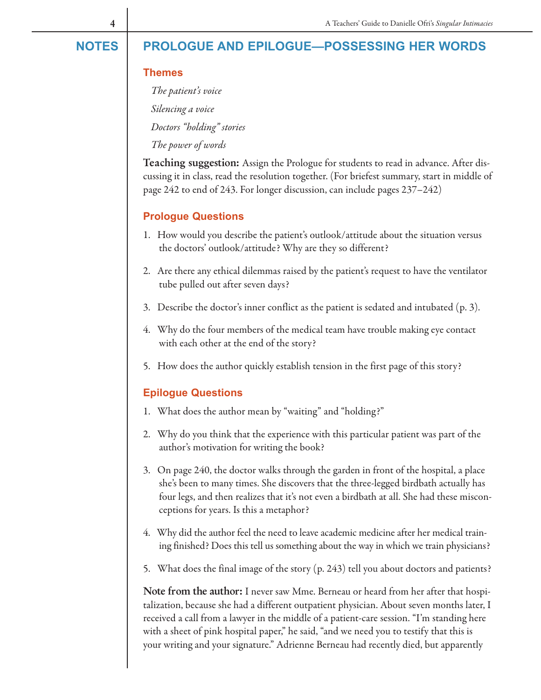# **NOTES PROLOGUE AND EPILOGUE—POSSESSING HER WORDS**

#### **Themes**

The patient's voice Silencing a voice Doctors "holding" stories

The power of words

Teaching suggestion: Assign the Prologue for students to read in advance. After discussing it in class, read the resolution together. (For briefest summary, start in middle of page 242 to end of 243. For longer discussion, can include pages 237–242)

#### **Prologue Questions**

- 1. How would you describe the patient's outlook/attitude about the situation versus the doctors' outlook/attitude? Why are they so different?
- 2. Are there any ethical dilemmas raised by the patient's request to have the ventilator tube pulled out after seven days?
- 3. Describe the doctor's inner conflict as the patient is sedated and intubated (p. 3).
- 4. Why do the four members of the medical team have trouble making eye contact with each other at the end of the story?
- 5. How does the author quickly establish tension in the first page of this story?

#### **Epilogue Questions**

- 1. What does the author mean by "waiting" and "holding?"
- 2. Why do you think that the experience with this particular patient was part of the author's motivation for writing the book?
- 3. On page 240, the doctor walks through the garden in front of the hospital, a place she's been to many times. She discovers that the three-legged birdbath actually has four legs, and then realizes that it's not even a birdbath at all. She had these misconceptions for years. Is this a metaphor?
- 4. Why did the author feel the need to leave academic medicine after her medical training finished? Does this tell us something about the way in which we train physicians?
- 5. What does the final image of the story (p. 243) tell you about doctors and patients?

Note from the author: I never saw Mme. Berneau or heard from her after that hospitalization, because she had a different outpatient physician. About seven months later, I received a call from a lawyer in the middle of a patient-care session. "I'm standing here with a sheet of pink hospital paper," he said, "and we need you to testify that this is your writing and your signature." Adrienne Berneau had recently died, but apparently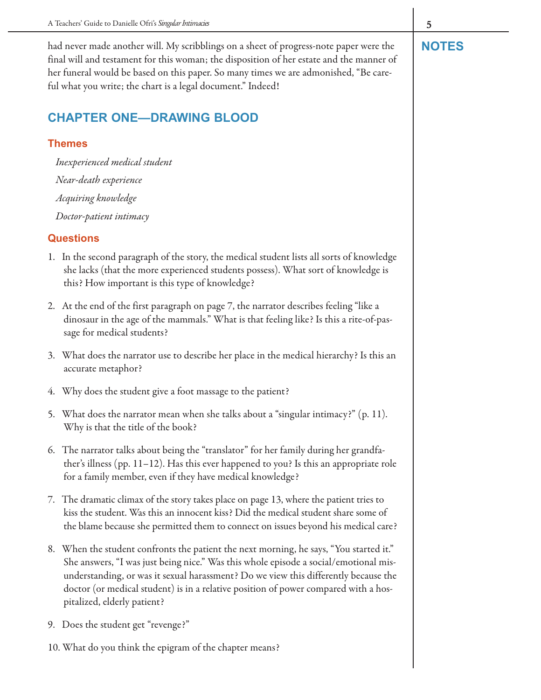had never made another will. My scribblings on a sheet of progress-note paper were the **NOTES** final will and testament for this woman; the disposition of her estate and the manner of her funeral would be based on this paper. So many times we are admonished, "Be careful what you write; the chart is a legal document." Indeed!

# **CHAPTER ONE—DRAWING BLOOD**

#### **Themes**

Inexperienced medical student Near-death experience Acquiring knowledge Doctor-patient intimacy

- 1. In the second paragraph of the story, the medical student lists all sorts of knowledge she lacks (that the more experienced students possess). What sort of knowledge is this? How important is this type of knowledge?
- 2. At the end of the first paragraph on page 7, the narrator describes feeling "like a dinosaur in the age of the mammals." What is that feeling like? Is this a rite-of-passage for medical students?
- 3. What does the narrator use to describe her place in the medical hierarchy? Is this an accurate metaphor?
- 4. Why does the student give a foot massage to the patient?
- 5. What does the narrator mean when she talks about a "singular intimacy?" (p. 11). Why is that the title of the book?
- 6. The narrator talks about being the "translator" for her family during her grandfather's illness (pp. 11–12). Has this ever happened to you? Is this an appropriate role for a family member, even if they have medical knowledge?
- 7. The dramatic climax of the story takes place on page 13, where the patient tries to kiss the student. Was this an innocent kiss? Did the medical student share some of the blame because she permitted them to connect on issues beyond his medical care?
- 8. When the student confronts the patient the next morning, he says, "You started it." She answers, "I was just being nice." Was this whole episode a social/emotional misunderstanding, or was it sexual harassment? Do we view this differently because the doctor (or medical student) is in a relative position of power compared with a hospitalized, elderly patient?
- 9. Does the student get "revenge?"
- 10. What do you think the epigram of the chapter means?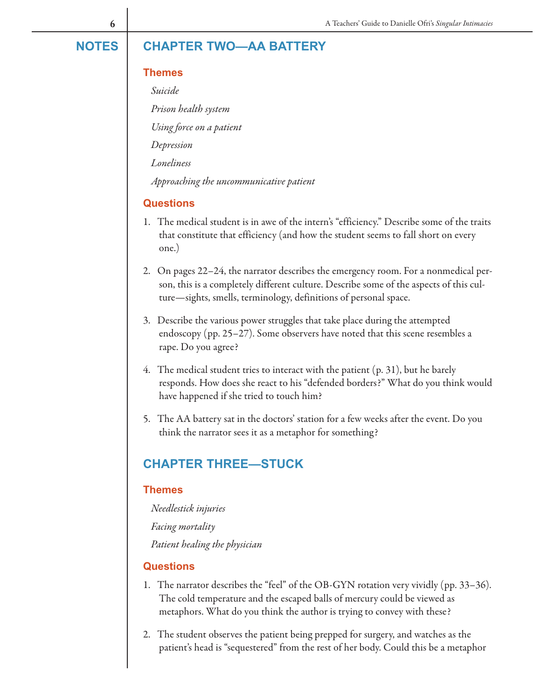#### **Themes**

Suicide

Prison health system

Using force on a patient

Depression

Loneliness

Approaching the uncommunicative patient

#### **Questions**

- 1. The medical student is in awe of the intern's "efficiency." Describe some of the traits that constitute that efficiency (and how the student seems to fall short on every one.)
- 2. On pages 22–24, the narrator describes the emergency room. For a nonmedical person, this is a completely different culture. Describe some of the aspects of this culture—sights, smells, terminology, definitions of personal space.
- 3. Describe the various power struggles that take place during the attempted endoscopy (pp. 25–27). Some observers have noted that this scene resembles a rape. Do you agree?
- 4. The medical student tries to interact with the patient (p. 31), but he barely responds. How does she react to his "defended borders?" What do you think would have happened if she tried to touch him?
- 5. The AA battery sat in the doctors' station for a few weeks after the event. Do you think the narrator sees it as a metaphor for something?

### **CHAPTER THREE—STUCK**

#### **Themes**

Needlestick injuries Facing mortality Patient healing the physician

- 1. The narrator describes the "feel" of the OB-GYN rotation very vividly (pp. 33–36). The cold temperature and the escaped balls of mercury could be viewed as metaphors. What do you think the author is trying to convey with these?
- 2. The student observes the patient being prepped for surgery, and watches as the patient's head is "sequestered" from the rest of her body. Could this be a metaphor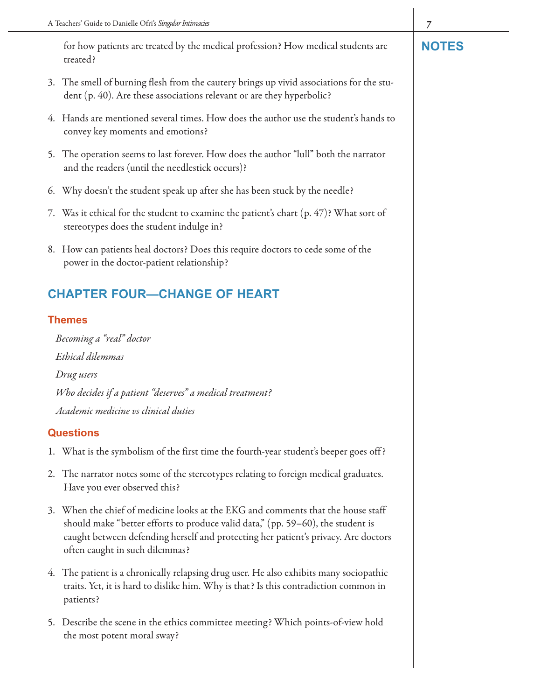for how patients are treated by the medical profession? How medical students are **NOTES** treated?

- 3. The smell of burning flesh from the cautery brings up vivid associations for the student (p. 40). Are these associations relevant or are they hyperbolic?
- 4. Hands are mentioned several times. How does the author use the student's hands to convey key moments and emotions?
- 5. The operation seems to last forever. How does the author "lull" both the narrator and the readers (until the needlestick occurs)?
- 6. Why doesn't the student speak up after she has been stuck by the needle?
- 7. Was it ethical for the student to examine the patient's chart (p. 47)? What sort of stereotypes does the student indulge in?
- 8. How can patients heal doctors? Does this require doctors to cede some of the power in the doctor-patient relationship?

# **CHAPTER FOUR—CHANGE OF HEART**

### **Themes**

Becoming a "real" doctor Ethical dilemmas Drug users Who decides if a patient "deserves" a medical treatment? Academic medicine vs clinical duties

- 1. What is the symbolism of the first time the fourth-year student's beeper goes off ?
- 2. The narrator notes some of the stereotypes relating to foreign medical graduates. Have you ever observed this?
- 3. When the chief of medicine looks at the EKG and comments that the house staff should make "better efforts to produce valid data," (pp. 59–60), the student is caught between defending herself and protecting her patient's privacy. Are doctors often caught in such dilemmas?
- 4. The patient is a chronically relapsing drug user. He also exhibits many sociopathic traits. Yet, it is hard to dislike him. Why is that? Is this contradiction common in patients?
- 5. Describe the scene in the ethics committee meeting? Which points-of-view hold the most potent moral sway?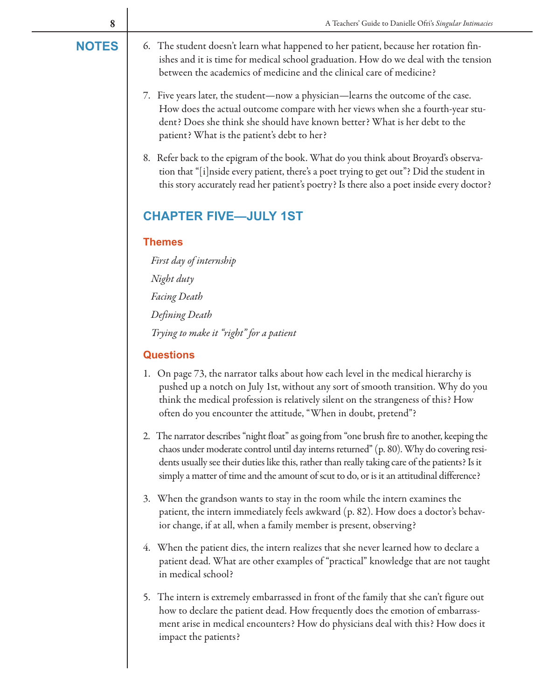- **NOTES** 6. The student doesn't learn what happened to her patient, because her rotation finishes and it is time for medical school graduation. How do we deal with the tension between the academics of medicine and the clinical care of medicine?
	- 7. Five years later, the student—now a physician—learns the outcome of the case. How does the actual outcome compare with her views when she a fourth-year student? Does she think she should have known better? What is her debt to the patient? What is the patient's debt to her?
	- 8. Refer back to the epigram of the book. What do you think about Broyard's observation that "[i]nside every patient, there's a poet trying to get out"? Did the student in this story accurately read her patient's poetry? Is there also a poet inside every doctor?

# **CHAPTER FIVE—JULY 1ST**

#### **Themes**

First day of internship Night duty Facing Death Defining Death Trying to make it "right" for a patient

- 1. On page 73, the narrator talks about how each level in the medical hierarchy is pushed up a notch on July 1st, without any sort of smooth transition. Why do you think the medical profession is relatively silent on the strangeness of this? How often do you encounter the attitude, "When in doubt, pretend"?
- 2. The narrator describes "night float" as going from "one brush fire to another, keeping the chaos under moderate control until day interns returned" (p. 80). Why do covering residents usually see their duties like this, rather than really taking care of the patients? Is it simply a matter of time and the amount of scut to do, or is it an attitudinal difference?
- 3. When the grandson wants to stay in the room while the intern examines the patient, the intern immediately feels awkward (p. 82). How does a doctor's behavior change, if at all, when a family member is present, observing?
- 4. When the patient dies, the intern realizes that she never learned how to declare a patient dead. What are other examples of "practical" knowledge that are not taught in medical school?
- 5. The intern is extremely embarrassed in front of the family that she can't figure out how to declare the patient dead. How frequently does the emotion of embarrassment arise in medical encounters? How do physicians deal with this? How does it impact the patients?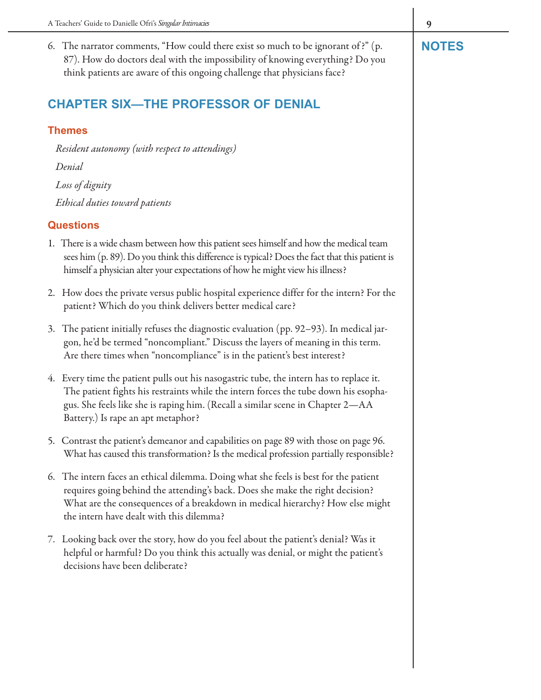6. The narrator comments, "How could there exist so much to be ignorant of ?" (p. **NOTES** 87). How do doctors deal with the impossibility of knowing everything? Do you think patients are aware of this ongoing challenge that physicians face?

# **CHAPTER SIX—THE PROFESSOR OF DENIAL**

#### **Themes**

Resident autonomy (with respect to attendings) Denial Loss of dignity Ethical duties toward patients

- 1. There is a wide chasm between how this patient sees himself and how the medical team sees him (p. 89). Do you think this difference is typical? Does the fact that this patient is himself a physician alter your expectations of how he might view his illness?
- 2. How does the private versus public hospital experience differ for the intern? For the patient? Which do you think delivers better medical care?
- 3. The patient initially refuses the diagnostic evaluation (pp. 92–93). In medical jargon, he'd be termed "noncompliant." Discuss the layers of meaning in this term. Are there times when "noncompliance" is in the patient's best interest?
- 4. Every time the patient pulls out his nasogastric tube, the intern has to replace it. The patient fights his restraints while the intern forces the tube down his esophagus. She feels like she is raping him. (Recall a similar scene in Chapter 2—AA Battery.) Is rape an apt metaphor?
- 5. Contrast the patient's demeanor and capabilities on page 89 with those on page 96. What has caused this transformation? Is the medical profession partially responsible?
- 6. The intern faces an ethical dilemma. Doing what she feels is best for the patient requires going behind the attending's back. Does she make the right decision? What are the consequences of a breakdown in medical hierarchy? How else might the intern have dealt with this dilemma?
- 7. Looking back over the story, how do you feel about the patient's denial? Was it helpful or harmful? Do you think this actually was denial, or might the patient's decisions have been deliberate?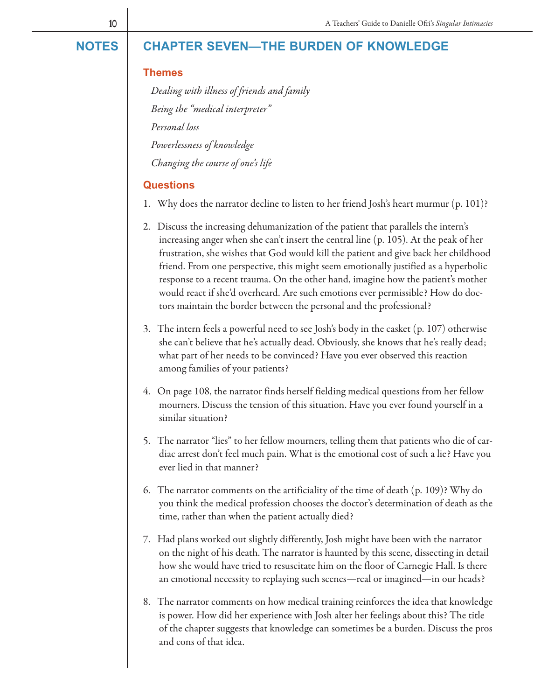# **NOTES CHAPTER SEVEN—THE BURDEN OF KNOWLEDGE**

#### **Themes**

Dealing with illness of friends and family Being the "medical interpreter" Personal loss Powerlessness of knowledge Changing the course of one's life

- 1. Why does the narrator decline to listen to her friend Josh's heart murmur (p. 101)?
- 2. Discuss the increasing dehumanization of the patient that parallels the intern's increasing anger when she can't insert the central line (p. 105). At the peak of her frustration, she wishes that God would kill the patient and give back her childhood friend. From one perspective, this might seem emotionally justified as a hyperbolic response to a recent trauma. On the other hand, imagine how the patient's mother would react if she'd overheard. Are such emotions ever permissible? How do doctors maintain the border between the personal and the professional?
- 3. The intern feels a powerful need to see Josh's body in the casket (p. 107) otherwise she can't believe that he's actually dead. Obviously, she knows that he's really dead; what part of her needs to be convinced? Have you ever observed this reaction among families of your patients?
- 4. On page 108, the narrator finds herself fielding medical questions from her fellow mourners. Discuss the tension of this situation. Have you ever found yourself in a similar situation?
- 5. The narrator "lies" to her fellow mourners, telling them that patients who die of cardiac arrest don't feel much pain. What is the emotional cost of such a lie? Have you ever lied in that manner?
- 6. The narrator comments on the artificiality of the time of death (p. 109)? Why do you think the medical profession chooses the doctor's determination of death as the time, rather than when the patient actually died?
- 7. Had plans worked out slightly differently, Josh might have been with the narrator on the night of his death. The narrator is haunted by this scene, dissecting in detail how she would have tried to resuscitate him on the floor of Carnegie Hall. Is there an emotional necessity to replaying such scenes—real or imagined—in our heads?
- 8. The narrator comments on how medical training reinforces the idea that knowledge is power. How did her experience with Josh alter her feelings about this? The title of the chapter suggests that knowledge can sometimes be a burden. Discuss the pros and cons of that idea.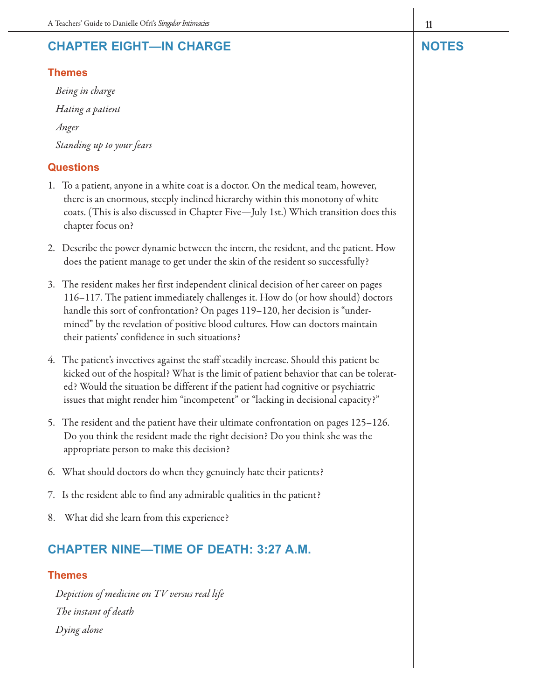# **CHAPTER EIGHT—IN CHARGE NOTES**

#### **Themes**

Being in charge Hating a patient Anger Standing up to your fears

#### **Questions**

- 1. To a patient, anyone in a white coat is a doctor. On the medical team, however, there is an enormous, steeply inclined hierarchy within this monotony of white coats. (This is also discussed in Chapter Five—July 1st.) Which transition does this chapter focus on?
- 2. Describe the power dynamic between the intern, the resident, and the patient. How does the patient manage to get under the skin of the resident so successfully?
- 3. The resident makes her first independent clinical decision of her career on pages 116–117. The patient immediately challenges it. How do (or how should) doctors handle this sort of confrontation? On pages 119–120, her decision is "undermined" by the revelation of positive blood cultures. How can doctors maintain their patients' confidence in such situations?
- 4. The patient's invectives against the staff steadily increase. Should this patient be kicked out of the hospital? What is the limit of patient behavior that can be tolerated? Would the situation be different if the patient had cognitive or psychiatric issues that might render him "incompetent" or "lacking in decisional capacity?"
- 5. The resident and the patient have their ultimate confrontation on pages 125–126. Do you think the resident made the right decision? Do you think she was the appropriate person to make this decision?
- 6. What should doctors do when they genuinely hate their patients?
- 7. Is the resident able to find any admirable qualities in the patient?
- 8. What did she learn from this experience?

# **CHAPTER NINE—TIME OF DEATH: 3:27 A.M.**

#### **Themes**

Depiction of medicine on TV versus real life The instant of death Dying alone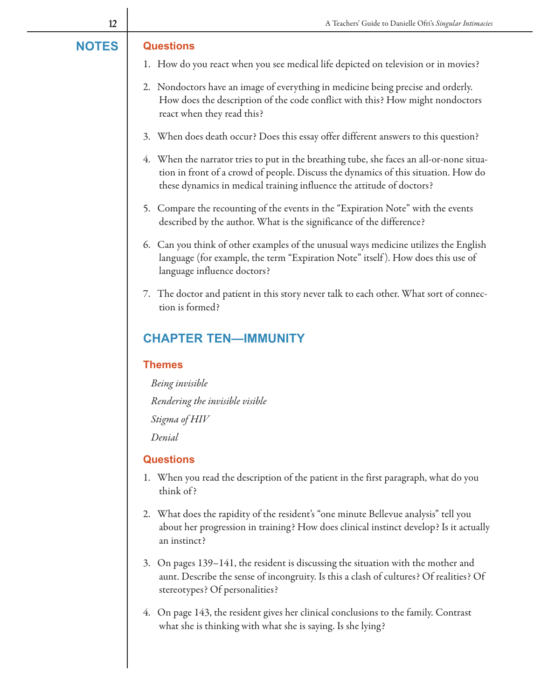#### **NOTES Questions**

- 1. How do you react when you see medical life depicted on television or in movies?
- 2. Nondoctors have an image of everything in medicine being precise and orderly. How does the description of the code conflict with this? How might nondoctors react when they read this?
- 3. When does death occur? Does this essay offer different answers to this question?
- 4. When the narrator tries to put in the breathing tube, she faces an all-or-none situation in front of a crowd of people. Discuss the dynamics of this situation. How do these dynamics in medical training influence the attitude of doctors?
- 5. Compare the recounting of the events in the "Expiration Note" with the events described by the author. What is the significance of the difference?
- 6. Can you think of other examples of the unusual ways medicine utilizes the English language (for example, the term "Expiration Note" itself). How does this use of language influence doctors?
- 7. The doctor and patient in this story never talk to each other. What sort of connection is formed?

# **CHAPTER TEN—IMMUNITY**

#### **Themes**

Being invisible Rendering the invisible visible Stigma of HIV

Denial

- 1. When you read the description of the patient in the first paragraph, what do you think of ?
- 2. What does the rapidity of the resident's "one minute Bellevue analysis" tell you about her progression in training? How does clinical instinct develop? Is it actually an instinct?
- 3. On pages 139–141, the resident is discussing the situation with the mother and aunt. Describe the sense of incongruity. Is this a clash of cultures? Of realities? Of stereotypes? Of personalities?
- 4. On page 143, the resident gives her clinical conclusions to the family. Contrast what she is thinking with what she is saying. Is she lying?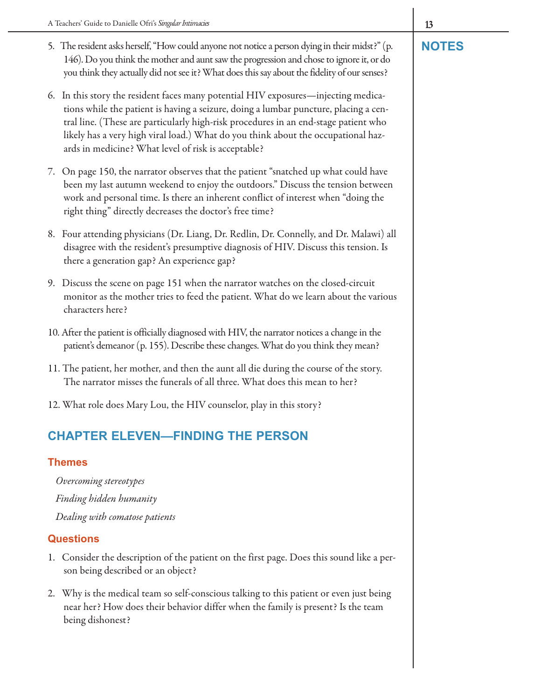- 5. The resident asks herself, "How could anyone not notice a person dying in their midst?" (p. **NOTES** 146). Do you think the mother and aunt saw the progression and chose to ignore it, or do you think they actually did not see it? What does this say about the fidelity of our senses?
- 6. In this story the resident faces many potential HIV exposures—injecting medications while the patient is having a seizure, doing a lumbar puncture, placing a central line. (These are particularly high-risk procedures in an end-stage patient who likely has a very high viral load.) What do you think about the occupational hazards in medicine? What level of risk is acceptable?
- 7. On page 150, the narrator observes that the patient "snatched up what could have been my last autumn weekend to enjoy the outdoors." Discuss the tension between work and personal time. Is there an inherent conflict of interest when "doing the right thing" directly decreases the doctor's free time?
- 8. Four attending physicians (Dr. Liang, Dr. Redlin, Dr. Connelly, and Dr. Malawi) all disagree with the resident's presumptive diagnosis of HIV. Discuss this tension. Is there a generation gap? An experience gap?
- 9. Discuss the scene on page 151 when the narrator watches on the closed-circuit monitor as the mother tries to feed the patient. What do we learn about the various characters here?
- 10. After the patient is officially diagnosed with HIV, the narrator notices a change in the patient's demeanor (p. 155). Describe these changes. What do you think they mean?
- 11. The patient, her mother, and then the aunt all die during the course of the story. The narrator misses the funerals of all three. What does this mean to her?
- 12. What role does Mary Lou, the HIV counselor, play in this story?

# **CHAPTER ELEVEN—FINDING THE PERSON**

#### **Themes**

Overcoming stereotypes Finding hidden humanity Dealing with comatose patients

- 1. Consider the description of the patient on the first page. Does this sound like a person being described or an object?
- 2. Why is the medical team so self-conscious talking to this patient or even just being near her? How does their behavior differ when the family is present? Is the team being dishonest?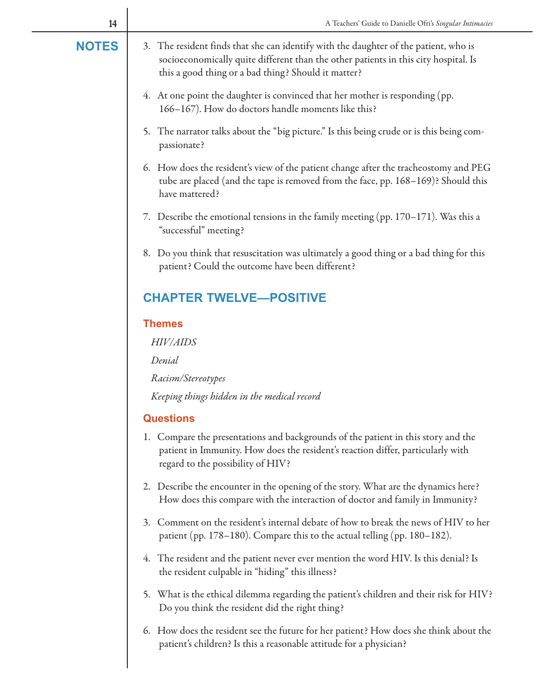| 14           | A Teachers' Guide to Danielle Ofri's Singular Intimacies                                                                                                                                                                           |  |  |  |  |
|--------------|------------------------------------------------------------------------------------------------------------------------------------------------------------------------------------------------------------------------------------|--|--|--|--|
| <b>NOTES</b> | 3. The resident finds that she can identify with the daughter of the patient, who is<br>socioeconomically quite different than the other patients in this city hospital. Is<br>this a good thing or a bad thing? Should it matter? |  |  |  |  |
|              | 4. At one point the daughter is convinced that her mother is responding (pp.<br>166-167). How do doctors handle moments like this?                                                                                                 |  |  |  |  |
|              | 5. The narrator talks about the "big picture." Is this being crude or is this being com-<br>passionate?                                                                                                                            |  |  |  |  |
|              | 6. How does the resident's view of the patient change after the tracheostomy and PEG<br>tube are placed (and the tape is removed from the face, pp. 168-169)? Should this<br>have mattered?                                        |  |  |  |  |
|              | 7. Describe the emotional tensions in the family meeting (pp. 170–171). Was this a<br>"successful" meeting?                                                                                                                        |  |  |  |  |
|              | 8. Do you think that resuscitation was ultimately a good thing or a bad thing for this<br>patient? Could the outcome have been different?                                                                                          |  |  |  |  |
|              | <b>CHAPTER TWELVE-POSITIVE</b>                                                                                                                                                                                                     |  |  |  |  |
|              | <b>Themes</b>                                                                                                                                                                                                                      |  |  |  |  |
|              | HIV/AIDS                                                                                                                                                                                                                           |  |  |  |  |
|              | Denial                                                                                                                                                                                                                             |  |  |  |  |
|              | Racism/Stereotypes                                                                                                                                                                                                                 |  |  |  |  |
|              | Keeping things hidden in the medical record                                                                                                                                                                                        |  |  |  |  |
|              | <b>Questions</b>                                                                                                                                                                                                                   |  |  |  |  |
|              | 1. Compare the presentations and backgrounds of the patient in this story and the<br>patient in Immunity. How does the resident's reaction differ, particularly with<br>regard to the possibility of HIV?                          |  |  |  |  |
|              | 2. Describe the encounter in the opening of the story. What are the dynamics here?<br>How does this compare with the interaction of doctor and family in Immunity?                                                                 |  |  |  |  |
|              | 3. Comment on the resident's internal debate of how to break the news of HIV to her<br>patient (pp. 178–180). Compare this to the actual telling (pp. 180–182).                                                                    |  |  |  |  |
|              | 4. The resident and the patient never ever mention the word HIV. Is this denial? Is<br>the resident culpable in "hiding" this illness?                                                                                             |  |  |  |  |
|              | 5. What is the ethical dilemma regarding the patient's children and their risk for HIV?<br>Do you think the resident did the right thing?                                                                                          |  |  |  |  |
|              | 6. How does the resident see the future for her patient? How does she think about the<br>patient's children? Is this a reasonable attitude for a physician?                                                                        |  |  |  |  |
|              |                                                                                                                                                                                                                                    |  |  |  |  |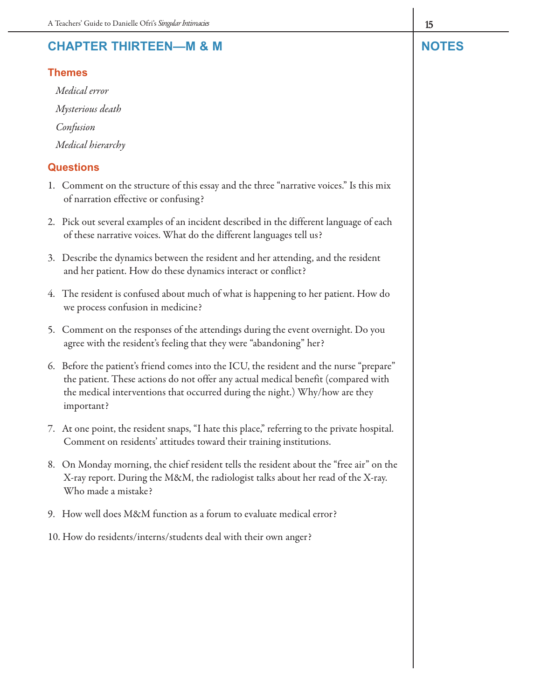# **CHAPTER THIRTEEN—M & M NOTES**

#### **Themes**

Medical error Mysterious death Confusion Medical hierarchy

- 1. Comment on the structure of this essay and the three "narrative voices." Is this mix of narration effective or confusing?
- 2. Pick out several examples of an incident described in the different language of each of these narrative voices. What do the different languages tell us?
- 3. Describe the dynamics between the resident and her attending, and the resident and her patient. How do these dynamics interact or conflict?
- 4. The resident is confused about much of what is happening to her patient. How do we process confusion in medicine?
- 5. Comment on the responses of the attendings during the event overnight. Do you agree with the resident's feeling that they were "abandoning" her?
- 6. Before the patient's friend comes into the ICU, the resident and the nurse "prepare" the patient. These actions do not offer any actual medical benefit (compared with the medical interventions that occurred during the night.) Why/how are they important?
- 7. At one point, the resident snaps, "I hate this place," referring to the private hospital. Comment on residents' attitudes toward their training institutions.
- 8. On Monday morning, the chief resident tells the resident about the "free air" on the X-ray report. During the M&M, the radiologist talks about her read of the X-ray. Who made a mistake?
- 9. How well does M&M function as a forum to evaluate medical error?
- 10. How do residents/interns/students deal with their own anger?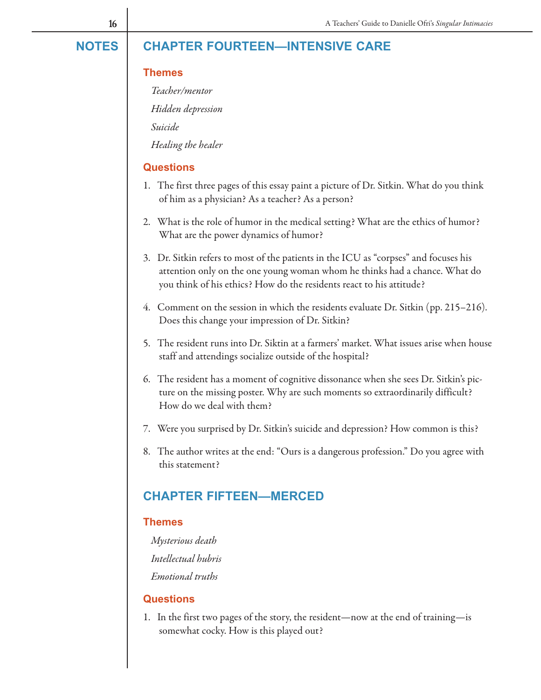#### **CHAPTER FOURTEEN—INTENSIVE CARE NOTES**

#### **Themes**

Teacher/mentor

Hidden depression

Suicide

Healing the healer

#### **Questions**

- 1. The first three pages of this essay paint a picture of Dr. Sitkin. What do you think of him as a physician? As a teacher? As a person?
- 2. What is the role of humor in the medical setting? What are the ethics of humor? What are the power dynamics of humor?
- 3. Dr. Sitkin refers to most of the patients in the ICU as "corpses" and focuses his attention only on the one young woman whom he thinks had a chance. What do you think of his ethics? How do the residents react to his attitude?
- 4. Comment on the session in which the residents evaluate Dr. Sitkin (pp. 215–216). Does this change your impression of Dr. Sitkin?
- 5. The resident runs into Dr. Siktin at a farmers' market. What issues arise when house staff and attendings socialize outside of the hospital?
- 6. The resident has a moment of cognitive dissonance when she sees Dr. Sitkin's picture on the missing poster. Why are such moments so extraordinarily difficult? How do we deal with them?
- 7. Were you surprised by Dr. Sitkin's suicide and depression? How common is this?
- 8. The author writes at the end: "Ours is a dangerous profession." Do you agree with this statement?

#### **CHAPTER FIFTEEN—MERCED**

#### **Themes**

Mysterious death Intellectual hubris Emotional truths

#### **Questions**

1. In the first two pages of the story, the resident—now at the end of training—is somewhat cocky. How is this played out?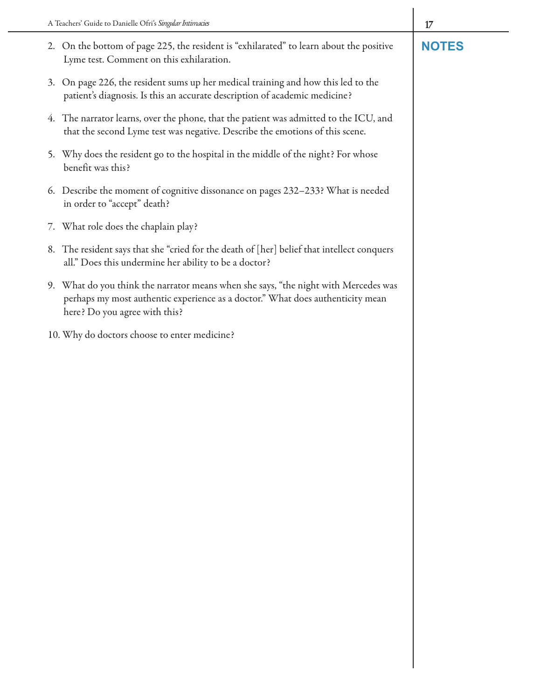- 2. On the bottom of page 225, the resident is "exhilarated" to learn about the positive **NOTES** Lyme test. Comment on this exhilaration.
- 3. On page 226, the resident sums up her medical training and how this led to the patient's diagnosis. Is this an accurate description of academic medicine?
- 4. The narrator learns, over the phone, that the patient was admitted to the ICU, and that the second Lyme test was negative. Describe the emotions of this scene.
- 5. Why does the resident go to the hospital in the middle of the night? For whose benefit was this?
- 6. Describe the moment of cognitive dissonance on pages 232–233? What is needed in order to "accept" death?
- 7. What role does the chaplain play?
- 8. The resident says that she "cried for the death of [her] belief that intellect conquers all." Does this undermine her ability to be a doctor?
- 9. What do you think the narrator means when she says, "the night with Mercedes was perhaps my most authentic experience as a doctor." What does authenticity mean here? Do you agree with this?
- 10. Why do doctors choose to enter medicine?